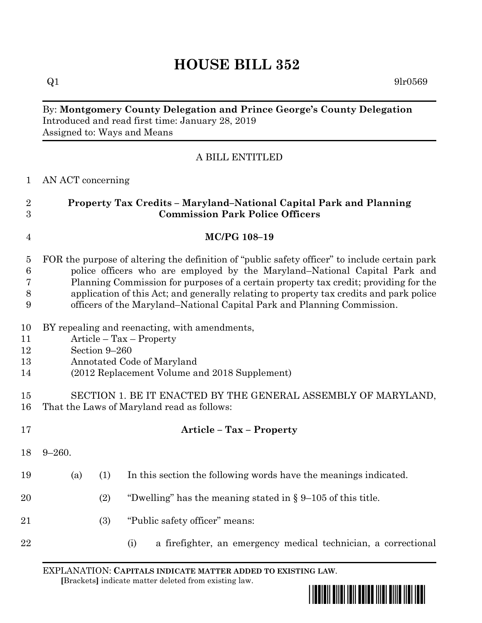# **HOUSE BILL 352**

 $Q1$  9lr0569

## By: **Montgomery County Delegation and Prince George's County Delegation** Introduced and read first time: January 28, 2019 Assigned to: Ways and Means

# A BILL ENTITLED

#### AN ACT concerning

| $\overline{2}$<br>3 | Property Tax Credits - Maryland-National Capital Park and Planning<br><b>Commission Park Police Officers</b>                                                       |     |     |                                                                  |
|---------------------|--------------------------------------------------------------------------------------------------------------------------------------------------------------------|-----|-----|------------------------------------------------------------------|
| $\overline{4}$      | MC/PG 108-19                                                                                                                                                       |     |     |                                                                  |
| $\overline{5}$      | FOR the purpose of altering the definition of "public safety officer" to include certain park                                                                      |     |     |                                                                  |
| $\,6$               | police officers who are employed by the Maryland–National Capital Park and                                                                                         |     |     |                                                                  |
| 7                   | Planning Commission for purposes of a certain property tax credit; providing for the                                                                               |     |     |                                                                  |
| 8<br>9              | application of this Act; and generally relating to property tax credits and park police<br>officers of the Maryland-National Capital Park and Planning Commission. |     |     |                                                                  |
| 10                  | BY repealing and reenacting, with amendments,                                                                                                                      |     |     |                                                                  |
| 11                  | $Article - Tax - Property$                                                                                                                                         |     |     |                                                                  |
| 12                  | Section 9-260                                                                                                                                                      |     |     |                                                                  |
| 13                  | Annotated Code of Maryland                                                                                                                                         |     |     |                                                                  |
| 14                  | (2012 Replacement Volume and 2018 Supplement)                                                                                                                      |     |     |                                                                  |
| 15                  | SECTION 1. BE IT ENACTED BY THE GENERAL ASSEMBLY OF MARYLAND,                                                                                                      |     |     |                                                                  |
| 16                  | That the Laws of Maryland read as follows:                                                                                                                         |     |     |                                                                  |
| 17                  |                                                                                                                                                                    |     |     | <b>Article - Tax - Property</b>                                  |
| 18                  | $9 - 260.$                                                                                                                                                         |     |     |                                                                  |
| 19                  | (a)                                                                                                                                                                | (1) |     | In this section the following words have the meanings indicated. |
| 20                  |                                                                                                                                                                    | (2) |     | "Dwelling" has the meaning stated in $\S 9$ –105 of this title.  |
| 21                  |                                                                                                                                                                    | (3) |     | "Public safety officer" means:                                   |
| 22                  |                                                                                                                                                                    |     | (i) | a firefighter, an emergency medical technician, a correctional   |